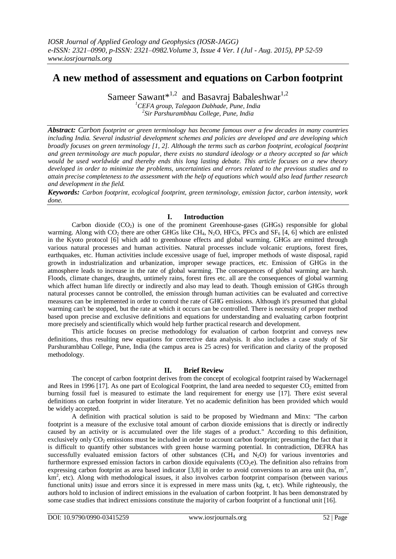# **A new method of assessment and equations on Carbon footprint**

Sameer Sawant\*<sup>1,2</sup> and Basavraj Babaleshwar<sup>1,2</sup> *<sup>1</sup>CEFA group, Talegaon Dabhade, Pune, India*

*2 Sir Parshurambhau College, Pune, India*

*Abstract: Carbon footprint or green terminology has become famous over a few decades in many countries including India. Several industrial development schemes and policies are developed and are developing which broadly focuses on green terminology [1, 2]. Although the terms such as carbon footprint, ecological footprint and green terminology are much popular, there exists no standard ideology or a theory accepted so far which would be used worldwide and thereby ends this long lasting debate. This article focuses on a new theory developed in order to minimize the problems, uncertainties and errors related to the previous studies and to attain precise completeness to the assessment with the help of equations which would also lead further research and development in the field.*

*Keywords: Carbon footprint, ecological footprint, green terminology, emission factor, carbon intensity, work done.*

# **I. Introduction**

Carbon dioxide  $(CO_2)$  is one of the prominent Greenhouse-gases (GHGs) responsible for global warming. Along with  $CO_2$  there are other GHGs like CH<sub>4</sub>, N<sub>2</sub>O, HFCs, PFCs and SF<sub>6</sub> [4, 6] which are enlisted in the Kyoto protocol [6] which add to greenhouse effects and global warming. GHGs are emitted through various natural processes and human activities. Natural processes include volcanic eruptions, forest fires, earthquakes, etc. Human activities include excessive usage of fuel, improper methods of waste disposal, rapid growth in industrialization and urbanization, improper sewage practices, etc. Emission of GHGs in the atmosphere leads to increase in the rate of global warming. The consequences of global warming are harsh. Floods, climate changes, draughts, untimely rains, forest fires etc. all are the consequences of global warming which affect human life directly or indirectly and also may lead to death. Though emission of GHGs through natural processes cannot be controlled, the emission through human activities can be evaluated and corrective measures can be implemented in order to control the rate of GHG emissions. Although it's presumed that global warming can't be stopped, but the rate at which it occurs can be controlled. There is necessity of proper method based upon precise and exclusive definitions and equations for understanding and evaluating carbon footprint more precisely and scientifically which would help further practical research and development.

This article focuses on precise methodology for evaluation of carbon footprint and conveys new definitions, thus resulting new equations for corrective data analysis. It also includes a case study of Sir Parshurambhau College, Pune, India (the campus area is 25 acres) for verification and clarity of the proposed methodology.

# **II. Brief Review**

The concept of carbon footprint derives from the concept of ecological footprint raised by Wackernagel and Rees in 1996 [17]. As one part of Ecological Footprint, the land area needed to sequester  $CO<sub>2</sub>$  emitted from burning fossil fuel is measured to estimate the land requirement for energy use [17]. There exist several definitions on carbon footprint in wider literature. Yet no academic definition has been provided which would be widely accepted.

A definition with practical solution is said to be proposed by Wiedmann and Minx: "The carbon footprint is a measure of the exclusive total amount of carbon dioxide emissions that is directly or indirectly caused by an activity or is accumulated over the life stages of a product." According to this definition, exclusively only  $CO<sub>2</sub>$  emissions must be included in order to account carbon footprint; presuming the fact that it is difficult to quantify other substances with green house warming potential. In contradiction, DEFRA has successfully evaluated emission factors of other substances  $(CH_4 \text{ and } N_2O)$  for various inventories and furthermore expressed emission factors in carbon dioxide equivalents  $(CO<sub>2</sub>e)$ . The definition also refrains from expressing carbon footprint as area based indicator [3,8] in order to avoid conversions to an area unit (ha,  $m^2$ , km<sup>2</sup>, etc). Along with methodological issues, it also involves carbon footprint comparison (between various functional units) issue and errors since it is expressed in mere mass units (kg, t, etc). While righteously, the authors hold to inclusion of indirect emissions in the evaluation of carbon footprint. It has been demonstrated by some case studies that indirect emissions constitute the majority of carbon footprint of a functional unit [16].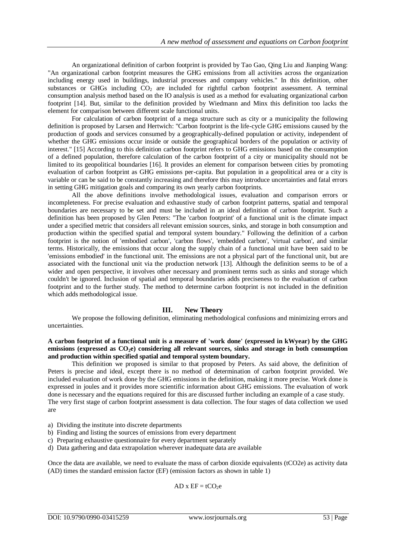An organizational definition of carbon footprint is provided by Tao Gao, Qing Liu and Jianping Wang: "An organizational carbon footprint measures the GHG emissions from all activities across the organization including energy used in buildings, industrial processes and company vehicles." In this definition, other substances or GHGs including  $CO<sub>2</sub>$  are included for rightful carbon footprint assessment. A terminal consumption analysis method based on the IO analysis is used as a method for evaluating organizational carbon footprint [14]. But, similar to the definition provided by Wiedmann and Minx this definition too lacks the element for comparison between different scale functional units.

For calculation of carbon footprint of a mega structure such as city or a municipality the following definition is proposed by Larsen and Hertwich: "Carbon footprint is the life-cycle GHG emissions caused by the production of goods and services consumed by a geographically-defined population or activity, independent of whether the GHG emissions occur inside or outside the geographical borders of the population or activity of interest." [15] According to this definition carbon footprint refers to GHG emissions based on the consumption of a defined population, therefore calculation of the carbon footprint of a city or municipality should not be limited to its geopolitical boundaries [16]. It provides an element for comparison between cities by promoting evaluation of carbon footprint as GHG emissions per-capita. But population in a geopolitical area or a city is variable or can be said to be constantly increasing and therefore this may introduce uncertainties and fatal errors in setting GHG mitigation goals and comparing its own yearly carbon footprints.

All the above definitions involve methodological issues, evaluation and comparison errors or incompleteness. For precise evaluation and exhaustive study of carbon footprint patterns, spatial and temporal boundaries are necessary to be set and must be included in an ideal definition of carbon footprint. Such a definition has been proposed by Glen Peters: "The 'carbon footprint' of a functional unit is the climate impact under a specified metric that considers all relevant emission sources, sinks, and storage in both consumption and production within the specified spatial and temporal system boundary." Following the definition of a carbon footprint is the notion of 'embodied carbon', 'carbon flows', 'embedded carbon', 'virtual carbon', and similar terms. Historically, the emissions that occur along the supply chain of a functional unit have been said to be 'emissions embodied' in the functional unit. The emissions are not a physical part of the functional unit, but are associated with the functional unit via the production network [13]. Although the definition seems to be of a wider and open perspective, it involves other necessary and prominent terms such as sinks and storage which couldn't be ignored. Inclusion of spatial and temporal boundaries adds preciseness to the evaluation of carbon footprint and to the further study. The method to determine carbon footprint is not included in the definition which adds methodological issue.

## **III. New Theory**

We propose the following definition, eliminating methodological confusions and minimizing errors and uncertainties.

## **A carbon footprint of a functional unit is a measure of 'work done' (expressed in kWyear) by the GHG emissions (expressed as CO2e) considering all relevant sources, sinks and storage in both consumption and production within specified spatial and temporal system boundary.**

This definition we proposed is similar to that proposed by Peters. As said above, the definition of Peters is precise and ideal, except there is no method of determination of carbon footprint provided. We included evaluation of work done by the GHG emissions in the definition, making it more precise. Work done is expressed in joules and it provides more scientific information about GHG emissions. The evaluation of work done is necessary and the equations required for this are discussed further including an example of a case study. The very first stage of carbon footprint assessment is data collection. The four stages of data collection we used are

- a) Dividing the institute into discrete departments
- b) Finding and listing the sources of emissions from every department
- c) Preparing exhaustive questionnaire for every department separately
- d) Data gathering and data extrapolation wherever inadequate data are available

Once the data are available, we need to evaluate the mass of carbon dioxide equivalents (tCO2e) as activity data (AD) times the standard emission factor (EF) (emission factors as shown in table 1)

 $AD x EF = tCO<sub>2</sub>e$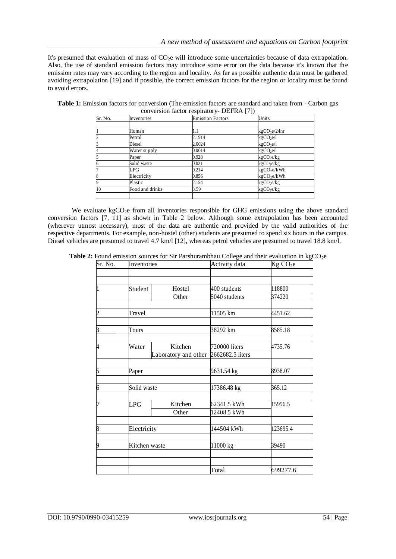It's presumed that evaluation of mass of  $CO<sub>2</sub>e$  will introduce some uncertainties because of data extrapolation. Also, the use of standard emission factors may introduce some error on the data because it's known that the emission rates may vary according to the region and locality. As far as possible authentic data must be gathered avoiding extrapolation [19] and if possible, the correct emission factors for the region or locality must be found to avoid errors.

| Sr. No.        | Inventories     | <b>Emission Factors</b> | Units                     |
|----------------|-----------------|-------------------------|---------------------------|
|                |                 |                         |                           |
|                | Human           | 1.1                     | kgCO <sub>2</sub> e/24hr  |
| $\overline{c}$ | Petrol          | 2.1914                  | kgCO <sub>2</sub> e/l     |
| 3              | Diesel          | 2.6024                  | kgCO <sub>2</sub> e/l     |
| 4              | Water supply    | 0.0014                  | kgCO <sub>2</sub> e/l     |
| 5              | Paper           | 0.928                   | kgCO <sub>2</sub> e/kg    |
| 6              | Solid waste     | 0.021                   | $kgCO$ <sub>2</sub> $ekg$ |
| 7              | LPG             | 0.214                   | kgCO <sub>2</sub> e/kWh   |
| 8              | Electricity     | 0.856                   | kgCO <sub>2</sub> e/kWh   |
| 9              | Plastic         | 2.154                   | kgCO <sub>2</sub> e/kg    |
| 10             | Food and drinks | 3.59                    | kgCO <sub>2</sub> e/kg    |
|                |                 |                         |                           |

**Table 1:** Emission factors for conversion (The emission factors are standard and taken from - Carbon gas conversion factor respiratory- DEFRA [7])

We evaluate kgCO<sub>2</sub>e from all inventories responsible for GHG emissions using the above standard conversion factors [7, 11] as shown in Table 2 below. Although some extrapolation has been accounted (wherever utmost necessary), most of the data are authentic and provided by the valid authorities of the respective departments. For example, non-hostel (other) students are presumed to spend six hours in the campus. Diesel vehicles are presumed to travel 4.7 km/l [12], whereas petrol vehicles are presumed to travel 18.8 km/l.

| $Sr.$ No.      | Inventories   |                      | Activity data    | Kg CO <sub>2</sub> e |  |
|----------------|---------------|----------------------|------------------|----------------------|--|
|                |               |                      |                  |                      |  |
|                |               |                      |                  |                      |  |
| $\vert_1$      | Student       | Hostel               | 400 students     | 118800               |  |
|                |               | Other                | 5040 students    | 374220               |  |
| $\overline{c}$ | Travel        |                      | 11505 km         | 4451.62              |  |
|                |               |                      |                  |                      |  |
| $\overline{3}$ | Tours         |                      | 38292 km         | 8585.18              |  |
| 4              | Water         | Kitchen              | 720000 liters    | 4735.76              |  |
|                |               | Laboratory and other | 2662682.5 liters |                      |  |
|                |               |                      |                  |                      |  |
| 5              | Paper         |                      | 9631.54 kg       | 8938.07              |  |
| $\overline{6}$ | Solid waste   |                      | 17386.48 kg      | 365.12               |  |
|                |               |                      |                  |                      |  |
| 7              | LPG           | Kitchen              | 62341.5 kWh      | 15996.5              |  |
|                |               | Other                | 12408.5 kWh      |                      |  |
| 8              | Electricity   |                      | 144504 kWh       | 123695.4             |  |
|                |               |                      |                  |                      |  |
| 9              | Kitchen waste |                      | 11000 kg         | 39490                |  |
|                |               |                      |                  |                      |  |
|                |               |                      | Total            | 699277.6             |  |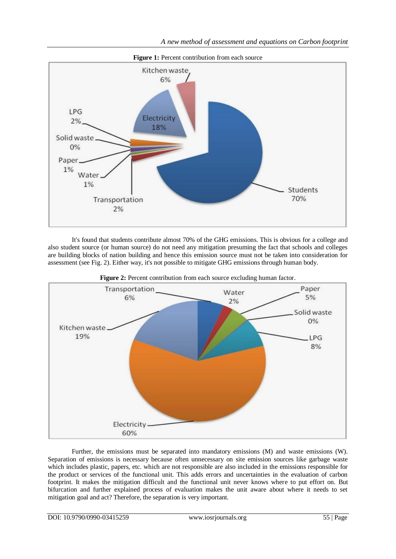

It's found that students contribute almost 70% of the GHG emissions. This is obvious for a college and also student source (or human source) do not need any mitigation presuming the fact that schools and colleges are building blocks of nation building and hence this emission source must not be taken into consideration for assessment (see Fig. 2). Either way, it's not possible to mitigate GHG emissions through human body.



**Figure 2:** Percent contribution from each source excluding human factor.

Further, the emissions must be separated into mandatory emissions (M) and waste emissions (W). Separation of emissions is necessary because often unnecessary on site emission sources like garbage waste which includes plastic, papers, etc. which are not responsible are also included in the emissions responsible for the product or services of the functional unit. This adds errors and uncertainties in the evaluation of carbon footprint. It makes the mitigation difficult and the functional unit never knows where to put effort on. But bifurcation and further explained process of evaluation makes the unit aware about where it needs to set mitigation goal and act? Therefore, the separation is very important.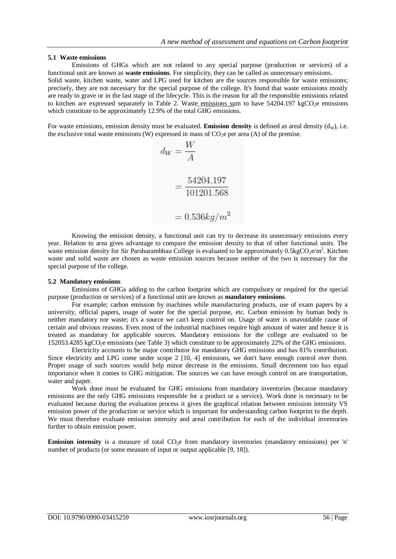## **5.1 Waste emissions**

Emissions of GHGs which are not related to any special purpose (production or services) of a functional unit are known as **waste emissions**. For simplicity, they can be called as unnecessary emissions. Solid waste, kitchen waste, water and LPG used for kitchen are the sources responsible for waste emissions; precisely, they are not necessary for the special purpose of the college. It's found that waste emissions mostly are ready to grave or in the last stage of the lifecycle. This is the reason for all the responsible emissions related to kitchen are expressed separately in Table 2. Waste emissions sum to have  $54204.197 \text{ kgCO}_{2}e$  emissions which constitute to be approximately 12.9% of the total GHG emissions.

For waste emissions, emission density must be evaluated. **Emission density** is defined as areal density  $(d<sub>W</sub>)$ , i.e. the exclusive total waste emissions (W) expressed in mass of  $CO<sub>2</sub>e$  per area (A) of the premise.

$$
d_W = \frac{W}{A}
$$
  
=  $\frac{54204.197}{101201.568}$   
= 0.536kg/m<sup>2</sup>

Knowing the emission density, a functional unit can try to decrease its unnecessary emissions every year. Relation to area gives advantage to compare the emission density to that of other functional units. The waste emission density for Sir Parshurambhau College is evaluated to be approximately  $0.5\text{kgCO}_2\text{e/m}^2$ . Kitchen waste and solid waste are chosen as waste emission sources because neither of the two is necessary for the special purpose of the college.

#### **5.2 Mandatory emissions**

Emissions of GHGs adding to the carbon footprint which are compulsory or required for the special purpose (production or services) of a functional unit are known as **mandatory emissions**.

For example; carbon emission by machines while manufacturing products, use of exam papers by a university, official papers, usage of water for the special purpose, etc. Carbon emission by human body is neither mandatory nor waste; it's a source we can't keep control on. Usage of water is unavoidable cause of certain and obvious reasons. Even most of the industrial machines require high amount of water and hence it is treated as mandatory for applicable sources. Mandatory emissions for the college are evaluated to be 152053.4285 kgCO2e emissions (see Table 3) which constitute to be approximately 22% of the GHG emissions.

Electricity accounts to be major contributor for mandatory GHG emissions and has 81% contribution. Since electricity and LPG come under scope 2 [10, 4] emissions, we don't have enough control over them. Proper usage of such sources would help minor decrease in the emissions. Small decrement too has equal importance when it comes to GHG mitigation. The sources we can have enough control on are transportation, water and paper.

Work done must be evaluated for GHG emissions from mandatory inventories (because mandatory emissions are the only GHG emissions responsible for a product or a service). Work done is necessary to be evaluated because during the evaluation process it gives the graphical relation between emission intensity VS emission power of the production or service which is important for understanding carbon footprint to the depth. We must therefore evaluate emission intensity and areal contribution for each of the individual inventories further to obtain emission power.

**Emission intensity** is a measure of total CO<sub>2</sub>e from mandatory inventories (mandatory emissions) per 'n' number of products (or some measure of input or output applicable [9, 18]).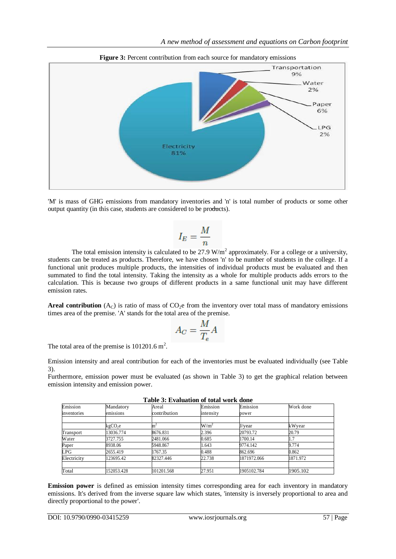

**Figure 3:** Percent contribution from each source for mandatory emissions

'M' is mass of GHG emissions from mandatory inventories and 'n' is total number of products or some other output quantity (in this case, students are considered to be products).

$$
I_E = \frac{M}{n}
$$

The total emission intensity is calculated to be  $27.9 \text{ W/m}^2$  approximately. For a college or a university, students can be treated as products. Therefore, we have chosen 'n' to be number of students in the college. If a functional unit produces multiple products, the intensities of individual products must be evaluated and then summated to find the total intensity. Taking the intensity as a whole for multiple products adds errors to the calculation. This is because two groups of different products in a same functional unit may have different emission rates.

**Areal contribution** ( $A_C$ ) is ratio of mass of CO<sub>2</sub>e from the inventory over total mass of mandatory emissions times area of the premise. 'A' stands for the total area of the premise.

$$
A_C = \frac{M}{T_e} A
$$

The total area of the premise is  $101201.6 \text{ m}^2$ .

Emission intensity and areal contribution for each of the inventories must be evaluated individually (see Table 3).

Furthermore, emission power must be evaluated (as shown in Table 3) to get the graphical relation between emission intensity and emission power.

| Table J. Evaluation of total work done |                     |              |           |             |           |  |  |  |
|----------------------------------------|---------------------|--------------|-----------|-------------|-----------|--|--|--|
| Emission                               | Mandatory           | Areal        | Emission  | Emission    | Work done |  |  |  |
| inventories                            | emissions           | contribution | intensity | power       |           |  |  |  |
|                                        | kgCO <sub>2</sub> e |              | $W/m^2$   | J/year      | kWyear    |  |  |  |
| Transport                              | 13036.774           | 8676.831     | 2.396     | 20793.72    | 20.79     |  |  |  |
| Water                                  | 3727.755            | 2481.066     | 0.685     | 1700.14     |           |  |  |  |
| Paper                                  | 8938.06             | 5948.867     | 1.643     | 9774.142    | 9.774     |  |  |  |
| LPG                                    | 2655.419            | 1767.35      | 0.488     | 862.696     | 0.862     |  |  |  |
| Electricity                            | 123695.42           | 82327.446    | 22.738    | 1871972.066 | 1871.972  |  |  |  |
| Total                                  | 152053.428          | 101201.568   | 27.951    | 1905102.784 | 1905.102  |  |  |  |
|                                        |                     |              |           |             |           |  |  |  |

**Table 3: Evaluation of total work done**

**Emission power** is defined as emission intensity times corresponding area for each inventory in mandatory emissions. It's derived from the inverse square law which states, 'intensity is inversely proportional to area and directly proportional to the power'.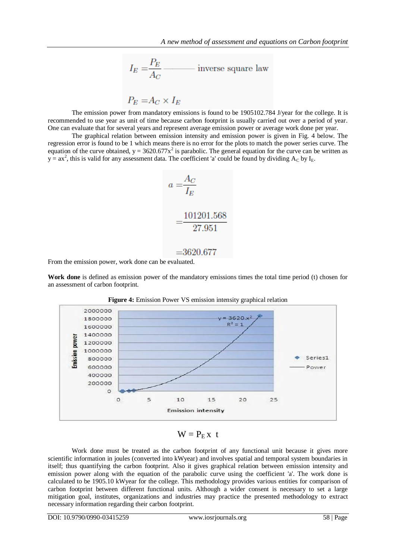$$
I_E = \frac{P_E}{A_C}
$$
   
inverse square law

 $P_E = A_C \times I_E$ 

The emission power from mandatory emissions is found to be 1905102.784 J/year for the college. It is recommended to use year as unit of time because carbon footprint is usually carried out over a period of year. One can evaluate that for several years and represent average emission power or average work done per year.

The graphical relation between emission intensity and emission power is given in Fig. 4 below. The regression error is found to be 1 which means there is no error for the plots to match the power series curve. The equation of the curve obtained,  $y = 3620.677x^2$  is parabolic. The general equation for the curve can be written as  $y = ax^2$ , this is valid for any assessment data. The coefficient 'a' could be found by dividing  $A_C$  by  $I_E$ .

$$
a = \frac{A_C}{I_E}
$$

$$
= \frac{101201.568}{27.951}
$$

 $= 3620.677$ 

From the emission power, work done can be evaluated.

**Work done** is defined as emission power of the mandatory emissions times the total time period (t) chosen for an assessment of carbon footprint.



**Figure 4:** Emission Power VS emission intensity graphical relation

 $W = P<sub>F</sub> x t$ 

Work done must be treated as the carbon footprint of any functional unit because it gives more scientific information in joules (converted into kWyear) and involves spatial and temporal system boundaries in itself; thus quantifying the carbon footprint. Also it gives graphical relation between emission intensity and emission power along with the equation of the parabolic curve using the coefficient 'a'. The work done is calculated to be 1905.10 kWyear for the college. This methodology provides various entities for comparison of carbon footprint between different functional units. Although a wider consent is necessary to set a large mitigation goal, institutes, organizations and industries may practice the presented methodology to extract necessary information regarding their carbon footprint.